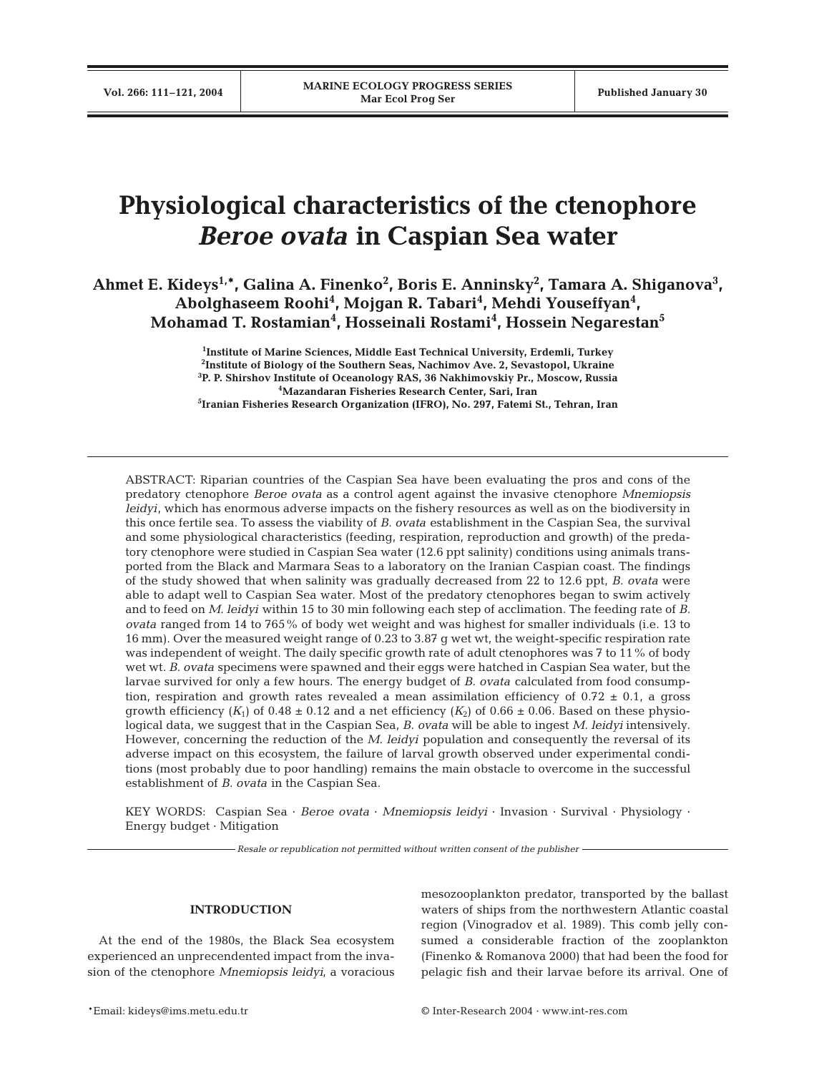# **Physiological characteristics of the ctenophore** *Beroe ovata* **in Caspian Sea water**

Ahmet E. Kideys<sup>1,</sup>\*, Galina A. Finenko<sup>2</sup>, Boris E. Anninsky<sup>2</sup>, Tamara A. Shiganova<sup>3</sup>, **Abolghaseem Roohi4 , Mojgan R. Tabari4 , Mehdi Youseffyan4 , Mohamad T. Rostamian4 , Hosseinali Rostami4 , Hossein Negarestan5**

> **Institute of Marine Sciences, Middle East Technical University, Erdemli, Turkey Institute of Biology of the Southern Seas, Nachimov Ave. 2, Sevastopol, Ukraine P. P. Shirshov Institute of Oceanology RAS, 36 Nakhimovskiy Pr., Moscow, Russia Mazandaran Fisheries Research Center, Sari, Iran Iranian Fisheries Research Organization (IFRO), No. 297, Fatemi St., Tehran, Iran**

ABSTRACT: Riparian countries of the Caspian Sea have been evaluating the pros and cons of the predatory ctenophore *Beroe ovata* as a control agent against the invasive ctenophore *Mnemiopsis leidyi*, which has enormous adverse impacts on the fishery resources as well as on the biodiversity in this once fertile sea. To assess the viability of *B. ovata* establishment in the Caspian Sea, the survival and some physiological characteristics (feeding, respiration, reproduction and growth) of the predatory ctenophore were studied in Caspian Sea water (12.6 ppt salinity) conditions using animals transported from the Black and Marmara Seas to a laboratory on the Iranian Caspian coast. The findings of the study showed that when salinity was gradually decreased from 22 to 12.6 ppt, *B. ovata* were able to adapt well to Caspian Sea water. Most of the predatory ctenophores began to swim actively and to feed on *M. leidyi* within 15 to 30 min following each step of acclimation. The feeding rate of *B. ovata* ranged from 14 to 765% of body wet weight and was highest for smaller individuals (i.e. 13 to 16 mm). Over the measured weight range of 0.23 to 3.87 g wet wt, the weight-specific respiration rate was independent of weight. The daily specific growth rate of adult ctenophores was 7 to 11% of body wet wt. *B. ovata* specimens were spawned and their eggs were hatched in Caspian Sea water, but the larvae survived for only a few hours. The energy budget of *B. ovata* calculated from food consumption, respiration and growth rates revealed a mean assimilation efficiency of  $0.72 \pm 0.1$ , a gross growth efficiency  $(K_1)$  of 0.48  $\pm$  0.12 and a net efficiency  $(K_2)$  of 0.66  $\pm$  0.06. Based on these physiological data, we suggest that in the Caspian Sea, *B. ovata* will be able to ingest *M. leidyi* intensively. However, concerning the reduction of the *M. leidyi* population and consequently the reversal of its adverse impact on this ecosystem, the failure of larval growth observed under experimental conditions (most probably due to poor handling) remains the main obstacle to overcome in the successful establishment of *B. ovata* in the Caspian Sea.

KEY WORDS: Caspian Sea · *Beroe ovata* · *Mnemiopsis leidyi* · Invasion · Survival · Physiology · Energy budget · Mitigation

*Resale or republication not permitted without written consent of the publisher*

## **INTRODUCTION**

At the end of the 1980s, the Black Sea ecosystem experienced an unprecendented impact from the invasion of the ctenophore *Mnemiopsis leidyi*, a voracious

mesozooplankton predator, transported by the ballast waters of ships from the northwestern Atlantic coastal region (Vinogradov et al. 1989). This comb jelly consumed a considerable fraction of the zooplankton (Finenko & Romanova 2000) that had been the food for pelagic fish and their larvae before its arrival. One of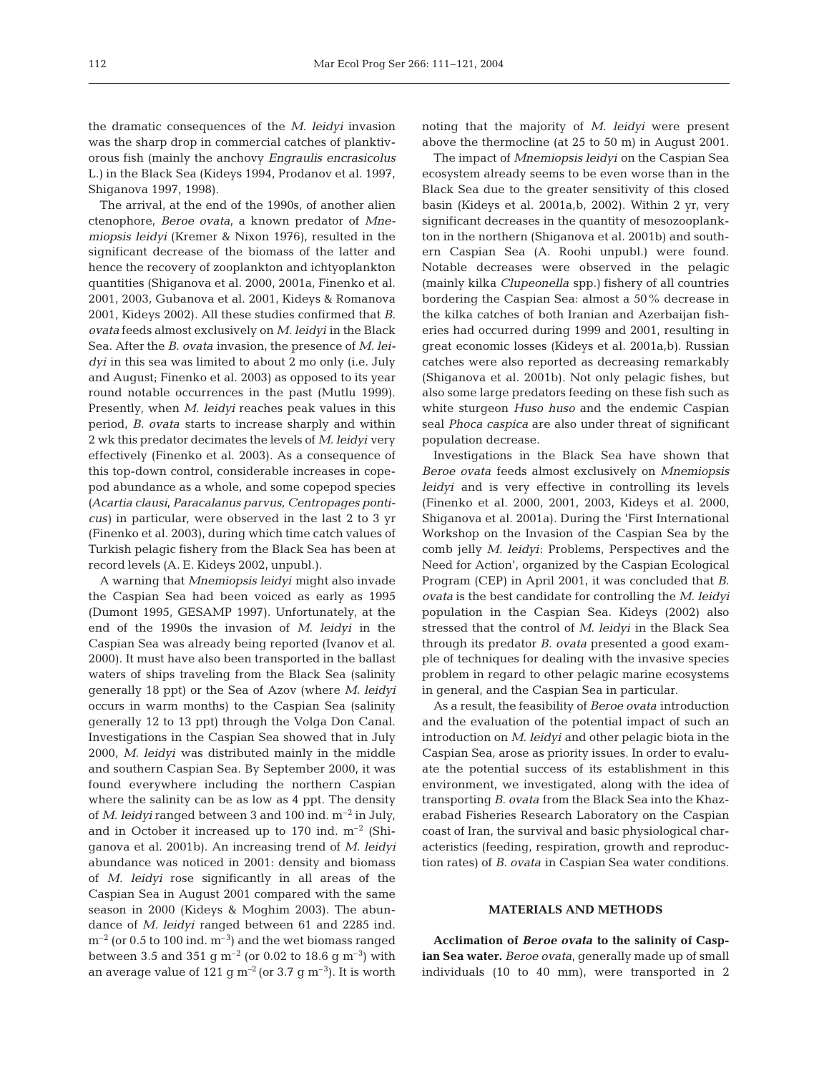the dramatic consequences of the *M. leidyi* invasion was the sharp drop in commercial catches of planktivorous fish (mainly the anchovy *Engraulis encrasicolus* L.) in the Black Sea (Kideys 1994, Prodanov et al. 1997, Shiganova 1997, 1998).

The arrival*,* at the end of the 1990s, of another alien ctenophore, *Beroe ovata,* a known predator of *Mnemiopsis leidyi* (Kremer & Nixon 1976)*,* resulted in the significant decrease of the biomass of the latter and hence the recovery of zooplankton and ichtyoplankton quantities (Shiganova et al. 2000, 2001a, Finenko et al. 2001, 2003, Gubanova et al. 2001, Kideys & Romanova 2001, Kideys 2002). All these studies confirmed that *B. ovata* feeds almost exclusively on *M. leidyi* in the Black Sea. After the *B. ovata* invasion, the presence of *M. leidyi* in this sea was limited to about 2 mo only (i.e. July and August; Finenko et al. 2003) as opposed to its year round notable occurrences in the past (Mutlu 1999). Presently, when *M. leidyi* reaches peak values in this period, *B. ovata* starts to increase sharply and within 2 wk this predator decimates the levels of *M. leidyi* very effectively (Finenko et al. 2003). As a consequence of this top-down control, considerable increases in copepod abundance as a whole, and some copepod species *(Acartia clausi, Paracalanus parvus, Centropages ponticus)* in particular, were observed in the last 2 to 3 yr (Finenko et al. 2003), during which time catch values of Turkish pelagic fishery from the Black Sea has been at record levels (A. E. Kideys 2002, unpubl.).

A warning that *Mnemiopsis leidyi* might also invade the Caspian Sea had been voiced as early as 1995 (Dumont 1995, GESAMP 1997). Unfortunately, at the end of the 1990s the invasion of *M. leidyi* in the Caspian Sea was already being reported (Ivanov et al. 2000). It must have also been transported in the ballast waters of ships traveling from the Black Sea (salinity generally 18 ppt) or the Sea of Azov (where *M. leidyi* occurs in warm months) to the Caspian Sea (salinity generally 12 to 13 ppt) through the Volga Don Canal. Investigations in the Caspian Sea showed that in July 2000, *M. leidyi* was distributed mainly in the middle and southern Caspian Sea. By September 2000, it was found everywhere including the northern Caspian where the salinity can be as low as 4 ppt. The density of *M. leidyi* ranged between 3 and 100 ind.  $m^{-2}$  in July, and in October it increased up to  $170$  ind.  $m^{-2}$  (Shiganova et al. 2001b). An increasing trend of *M. leidyi* abundance was noticed in 2001: density and biomass of *M. leidyi* rose significantly in all areas of the Caspian Sea in August 2001 compared with the same season in 2000 (Kideys & Moghim 2003). The abundance of *M. leidyi* ranged between 61 and 2285 ind.  $m^{-2}$  (or 0.5 to 100 ind.  $m^{-3}$ ) and the wet biomass ranged between 3.5 and 351 g  $\text{m}^{-2}$  (or 0.02 to 18.6 g  $\text{m}^{-3}$ ) with an average value of 121 g m*–*2 (or 3.7 g m–3). It is worth

noting that the majority of *M. leidyi* were present above the thermocline (at 25 to 50 m) in August 2001.

The impact of *Mnemiopsis leidyi* on the Caspian Sea ecosystem already seems to be even worse than in the Black Sea due to the greater sensitivity of this closed basin (Kideys et al. 2001a,b, 2002). Within 2 yr, very significant decreases in the quantity of mesozooplankton in the northern (Shiganova et al. 2001b) and southern Caspian Sea (A. Roohi unpubl.) were found. Notable decreases were observed in the pelagic (mainly kilka *Clupeonella* spp.) fishery of all countries bordering the Caspian Sea: almost a 50% decrease in the kilka catches of both Iranian and Azerbaijan fisheries had occurred during 1999 and 2001, resulting in great economic losses (Kideys et al. 2001a,b). Russian catches were also reported as decreasing remarkably (Shiganova et al. 2001b). Not only pelagic fishes, but also some large predators feeding on these fish such as white sturgeon *Huso huso* and the endemic Caspian seal *Phoca caspica* are also under threat of significant population decrease.

Investigations in the Black Sea have shown that *Beroe ovata* feeds almost exclusively on *Mnemiopsis leidyi* and is very effective in controlling its levels (Finenko et al. 2000, 2001, 2003, Kideys et al. 2000, Shiganova et al. 2001a). During the 'First International Workshop on the Invasion of the Caspian Sea by the comb jelly *M. leidyi*: Problems, Perspectives and the Need for Action', organized by the Caspian Ecological Program (CEP) in April 2001, it was concluded that *B. ovata* is the best candidate for controlling the *M*. *leidyi* population in the Caspian Sea. Kideys (2002) also stressed that the control of *M. leidyi* in the Black Sea through its predator *B. ovata* presented a good example of techniques for dealing with the invasive species problem in regard to other pelagic marine ecosystems in general, and the Caspian Sea in particular.

As a result, the feasibility of *Beroe ovata* introduction and the evaluation of the potential impact of such an introduction on *M. leidyi* and other pelagic biota in the Caspian Sea, arose as priority issues. In order to evaluate the potential success of its establishment in this environment, we investigated, along with the idea of transporting *B. ovata* from the Black Sea into the Khazerabad Fisheries Research Laboratory on the Caspian coast of Iran, the survival and basic physiological characteristics (feeding, respiration, growth and reproduction rates) of *B. ovata* in Caspian Sea water conditions.

## **MATERIALS AND METHODS**

**Acclimation of** *Beroe ovata* **to the salinity of Caspian Sea water.** *Beroe ovata,* generally made up of small individuals (10 to 40 mm), were transported in 2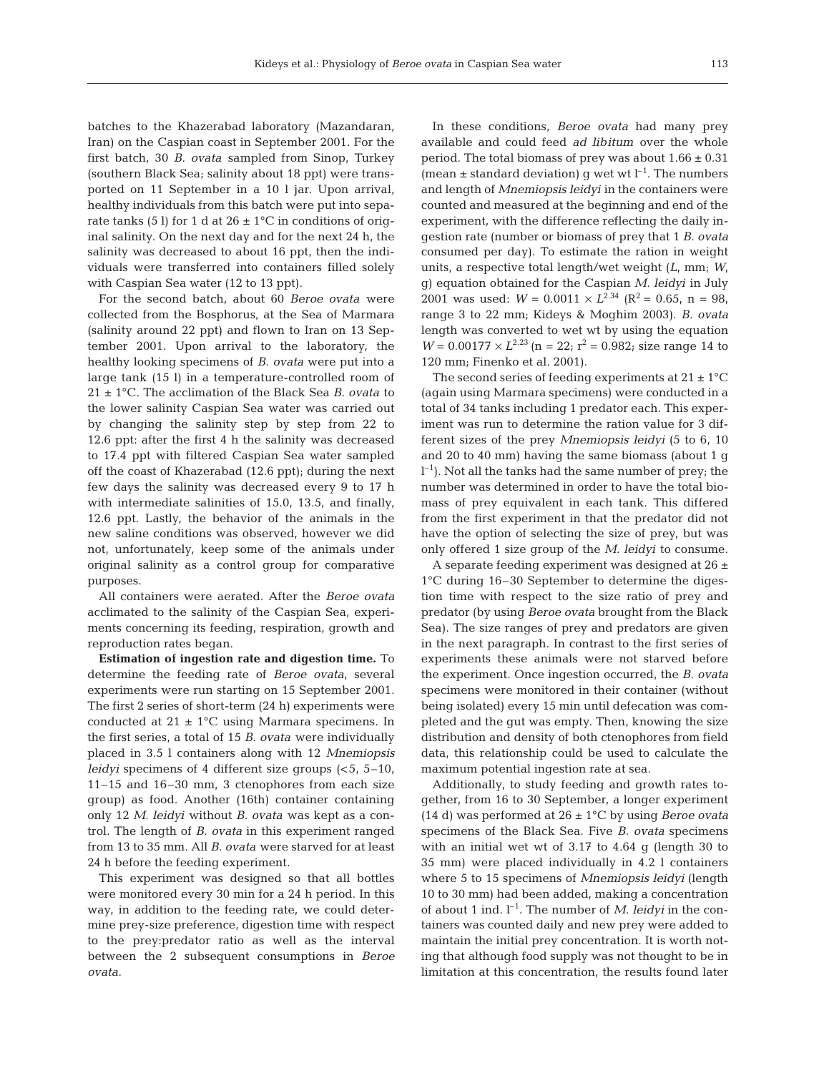batches to the Khazerabad laboratory (Mazandaran, Iran) on the Caspian coast in September 2001. For the first batch, 30 *B. ovata* sampled from Sinop, Turkey (southern Black Sea; salinity about 18 ppt) were transported on 11 September in a 10 l jar. Upon arrival, healthy individuals from this batch were put into separate tanks (5 l) for 1 d at  $26 \pm 1^{\circ}$ C in conditions of original salinity. On the next day and for the next 24 h, the salinity was decreased to about 16 ppt, then the individuals were transferred into containers filled solely with Caspian Sea water (12 to 13 ppt).

For the second batch, about 60 *Beroe ovata* were collected from the Bosphorus, at the Sea of Marmara (salinity around 22 ppt) and flown to Iran on 13 September 2001. Upon arrival to the laboratory, the healthy looking specimens of *B. ovata* were put into a large tank (15 l) in a temperature-controlled room of 21 ± 1°C. The acclimation of the Black Sea *B. ovata* to the lower salinity Caspian Sea water was carried out by changing the salinity step by step from 22 to 12.6 ppt: after the first 4 h the salinity was decreased to 17.4 ppt with filtered Caspian Sea water sampled off the coast of Khazerabad (12.6 ppt); during the next few days the salinity was decreased every 9 to 17 h with intermediate salinities of 15.0, 13.5, and finally, 12.6 ppt. Lastly, the behavior of the animals in the new saline conditions was observed, however we did not, unfortunately, keep some of the animals under original salinity as a control group for comparative purposes.

All containers were aerated. After the *Beroe ovata* acclimated to the salinity of the Caspian Sea, experiments concerning its feeding, respiration, growth and reproduction rates began.

**Estimation of ingestion rate and digestion time.** To determine the feeding rate of *Beroe ovata,* several experiments were run starting on 15 September 2001. The first 2 series of short-term (24 h) experiments were conducted at  $21 \pm 1$ °C using Marmara specimens. In the first series, a total of 15 *B. ovata* were individually placed in 3.5 l containers along with 12 *Mnemiopsis leidyi* specimens of 4 different size groups (<5, 5–10, 11–15 and 16–30 mm, 3 ctenophores from each size group) as food. Another (16th) container containing only 12 *M. leidyi* without *B. ovata* was kept as a control. The length of *B. ovata* in this experiment ranged from 13 to 35 mm. All *B. ovata* were starved for at least 24 h before the feeding experiment.

This experiment was designed so that all bottles were monitored every 30 min for a 24 h period. In this way, in addition to the feeding rate, we could determine prey-size preference, digestion time with respect to the prey:predator ratio as well as the interval between the 2 subsequent consumptions in *Beroe ovata.*

In these conditions, *Beroe ovata* had many prey available and could feed *ad libitum* over the whole period. The total biomass of prey was about  $1.66 \pm 0.31$ (mean  $\pm$  standard deviation) g wet wt  $l^{-1}$ . The numbers and length of *Mnemiopsis leidyi* in the containers were counted and measured at the beginning and end of the experiment, with the difference reflecting the daily ingestion rate (number or biomass of prey that 1 *B. ovata* consumed per day). To estimate the ration in weight units, a respective total length/wet weight (*L*, mm; *W*, g) equation obtained for the Caspian *M. leidyi* in July 2001 was used:  $W = 0.0011 \times L^{2.34}$  ( $R^2 = 0.65$ , n = 98, range 3 to 22 mm; Kideys & Moghim 2003). *B. ovata* length was converted to wet wt by using the equation  $W = 0.00177 \times L^{2.23}$  (n = 22;  $r^2 = 0.982$ ; size range 14 to 120 mm; Finenko et al. 2001).

The second series of feeding experiments at  $21 \pm 1$ <sup>o</sup>C (again using Marmara specimens) were conducted in a total of 34 tanks including 1 predator each. This experiment was run to determine the ration value for 3 different sizes of the prey *Mnemiopsis leidyi* (5 to 6, 10 and 20 to 40 mm) having the same biomass (about 1 g  $l^{-1}$ ). Not all the tanks had the same number of prey; the number was determined in order to have the total biomass of prey equivalent in each tank. This differed from the first experiment in that the predator did not have the option of selecting the size of prey, but was only offered 1 size group of the *M. leidyi* to consume.

A separate feeding experiment was designed at  $26 \pm$ 1°C during 16–30 September to determine the digestion time with respect to the size ratio of prey and predator (by using *Beroe ovata* brought from the Black Sea). The size ranges of prey and predators are given in the next paragraph. In contrast to the first series of experiments these animals were not starved before the experiment. Once ingestion occurred, the *B. ovata* specimens were monitored in their container (without being isolated) every 15 min until defecation was completed and the gut was empty. Then, knowing the size distribution and density of both ctenophores from field data, this relationship could be used to calculate the maximum potential ingestion rate at sea.

Additionally, to study feeding and growth rates together, from 16 to 30 September, a longer experiment (14 d) was performed at 26 ± 1°C by using *Beroe ovata* specimens of the Black Sea. Five *B. ovata* specimens with an initial wet wt of 3.17 to 4.64 g (length 30 to 35 mm) were placed individually in 4.2 l containers where 5 to 15 specimens of *Mnemiopsis leidyi* (length 10 to 30 mm) had been added, making a concentration of about 1 ind. l–1. The number of *M. leidyi* in the containers was counted daily and new prey were added to maintain the initial prey concentration. It is worth noting that although food supply was not thought to be in limitation at this concentration, the results found later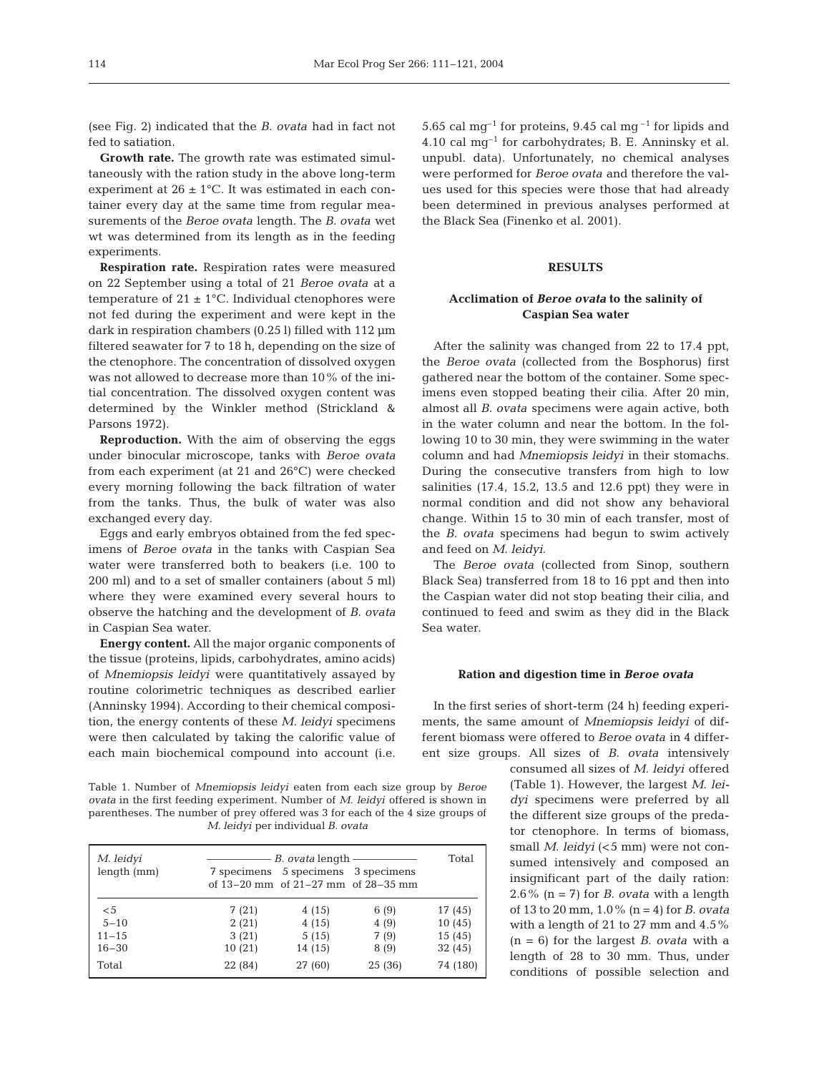(see Fig. 2) indicated that the *B. ovata* had in fact not fed to satiation.

**Growth rate.** The growth rate was estimated simultaneously with the ration study in the above long-term experiment at  $26 \pm 1$ °C. It was estimated in each container every day at the same time from regular measurements of the *Beroe ovata* length. The *B. ovata* wet wt was determined from its length as in the feeding experiments.

**Respiration rate.** Respiration rates were measured on 22 September using a total of 21 *Beroe ovata* at a temperature of  $21 \pm 1$ °C. Individual ctenophores were not fed during the experiment and were kept in the dark in respiration chambers (0.25 l) filled with 112 µm filtered seawater for 7 to 18 h, depending on the size of the ctenophore. The concentration of dissolved oxygen was not allowed to decrease more than 10% of the initial concentration. The dissolved oxygen content was determined by the Winkler method (Strickland & Parsons 1972).

**Reproduction.** With the aim of observing the eggs under binocular microscope, tanks with *Beroe ovata* from each experiment (at 21 and 26°C) were checked every morning following the back filtration of water from the tanks. Thus, the bulk of water was also exchanged every day.

Eggs and early embryos obtained from the fed specimens of *Beroe ovata* in the tanks with Caspian Sea water were transferred both to beakers (i.e. 100 to 200 ml) and to a set of smaller containers (about 5 ml) where they were examined every several hours to observe the hatching and the development of *B. ovata* in Caspian Sea water.

**Energy content.** All the major organic components of the tissue (proteins, lipids, carbohydrates, amino acids) of *Mnemiopsis leidyi* were quantitatively assayed by routine colorimetric techniques as described earlier (Anninsky 1994). According to their chemical composition, the energy contents of these *M. leidyi* specimens were then calculated by taking the calorific value of each main biochemical compound into account (i.e.

Table 1. Number of *Mnemiopsis leidyi* eaten from each size group by *Beroe ovata* in the first feeding experiment. Number of *M. leidyi* offered is shown in parentheses. The number of prey offered was 3 for each of the 4 size groups of *M. leidyi* per individual *B. ovata*

| M. leidyi   |         | <i>B. ovata</i> length                                                           |        | Total    |
|-------------|---------|----------------------------------------------------------------------------------|--------|----------|
| length (mm) |         | 7 specimens 5 specimens 3 specimens<br>of $13-20$ mm of $21-27$ mm of $28-35$ mm |        |          |
| $\leq 5$    | 7(21)   | 4(15)                                                                            | 6(9)   | 17 (45)  |
| $5 - 10$    | 2(21)   | 4(15)                                                                            | 4(9)   | 10(45)   |
| $11 - 15$   | 3(21)   | 5(15)                                                                            | 7(9)   | 15(45)   |
| $16 - 30$   | 10(21)  | 14 (15)                                                                          | 8(9)   | 32(45)   |
| Total       | 22 (84) | 27 (60)                                                                          | 25(36) | 74 (180) |

5.65 cal mg<sup>-1</sup> for proteins, 9.45 cal mg<sup>-1</sup> for lipids and 4.10 cal  $mg^{-1}$  for carbohydrates; B. E. Anninsky et al. unpubl. data). Unfortunately, no chemical analyses were performed for *Beroe ovata* and therefore the values used for this species were those that had already been determined in previous analyses performed at the Black Sea (Finenko et al. 2001).

## **RESULTS**

## **Acclimation of** *Beroe ovata* **to the salinity of Caspian Sea water**

After the salinity was changed from 22 to 17.4 ppt, the *Beroe ovata* (collected from the Bosphorus) first gathered near the bottom of the container. Some specimens even stopped beating their cilia. After 20 min, almost all *B. ovata* specimens were again active, both in the water column and near the bottom. In the following 10 to 30 min, they were swimming in the water column and had *Mnemiopsis leidyi* in their stomachs. During the consecutive transfers from high to low salinities (17.4, 15.2, 13.5 and 12.6 ppt) they were in normal condition and did not show any behavioral change. Within 15 to 30 min of each transfer, most of the *B. ovata* specimens had begun to swim actively and feed on *M. leidyi*.

The *Beroe ovata* (collected from Sinop, southern Black Sea) transferred from 18 to 16 ppt and then into the Caspian water did not stop beating their cilia, and continued to feed and swim as they did in the Black Sea water.

#### **Ration and digestion time in** *Beroe ovata*

In the first series of short-term (24 h) feeding experiments, the same amount of *Mnemiopsis leidyi* of different biomass were offered to *Beroe ovata* in 4 different size groups. All sizes of *B. ovata* intensively

consumed all sizes of *M. leidyi* offered (Table 1). However, the largest *M. leidyi* specimens were preferred by all the different size groups of the predator ctenophore. In terms of biomass, small *M. leidyi* (<5 mm) were not consumed intensively and composed an insignificant part of the daily ration: 2.6% (n = 7) for *B. ovata* with a length of 13 to 20 mm, 1.0% (n = 4) for *B. ovata* with a length of 21 to 27 mm and 4.5% (n = 6) for the largest *B. ovata* with a length of 28 to 30 mm. Thus, under conditions of possible selection and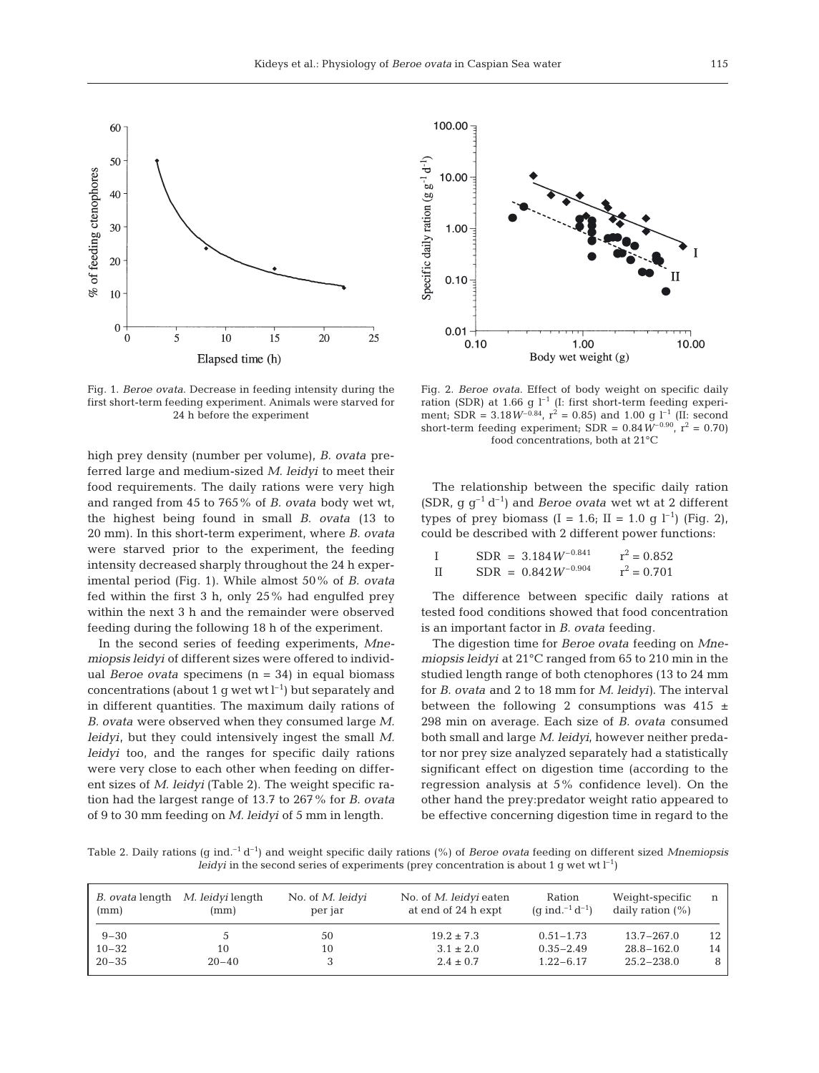

Fig. 1. *Beroe ovata.* Decrease in feeding intensity during the first short-term feeding experiment. Animals were starved for 24 h before the experiment

high prey density (number per volume), *B. ovata* preferred large and medium-sized *M. leidyi* to meet their food requirements. The daily rations were very high and ranged from 45 to 765% of *B. ovata* body wet wt, the highest being found in small *B. ovata* (13 to 20 mm). In this short-term experiment, where *B. ovata* were starved prior to the experiment, the feeding intensity decreased sharply throughout the 24 h experimental period (Fig. 1). While almost 50% of *B. ovata* fed within the first 3 h, only 25% had engulfed prey within the next 3 h and the remainder were observed feeding during the following 18 h of the experiment.

In the second series of feeding experiments, *Mnemiopsis leidyi* of different sizes were offered to individual *Beroe ovata* specimens (n = 34) in equal biomass concentrations (about 1 g wet wt  $l^{-1}$ ) but separately and in different quantities. The maximum daily rations of *B. ovata* were observed when they consumed large *M. leidyi*, but they could intensively ingest the small *M. leidyi* too, and the ranges for specific daily rations were very close to each other when feeding on different sizes of *M. leidyi* (Table 2). The weight specific ration had the largest range of 13.7 to 267% for *B. ovata* of 9 to 30 mm feeding on *M. leidyi* of 5 mm in length.



Fig. 2. *Beroe ovata.* Effect of body weight on specific daily ration (SDR) at 1.66 g  $l^{-1}$  (I: first short-term feeding experiment; SDR =  $3.18W^{-0.84}$ ,  $r^2 = 0.85$ ) and  $1.00$  g l<sup>-1</sup> (II: second short-term feeding experiment; SDR =  $0.84 W^{-0.90}$ ,  $r^2 = 0.70$ ) food concentrations, both at 21°C

The relationship between the specific daily ration (SDR,  $q q^{-1} d^{-1}$ ) and *Beroe ovata* wet wt at 2 different types of prey biomass  $(I = 1.6; II = 1.0 \text{ q } l^{-1})$  (Fig. 2), could be described with 2 different power functions:

|      | $SDR = 3.184 W^{-0.841}$ | $r^2 = 0.852$ |
|------|--------------------------|---------------|
| - TT | $SDR = 0.842 W^{-0.904}$ | $r^2 = 0.701$ |

The difference between specific daily rations at tested food conditions showed that food concentration is an important factor in *B. ovata* feeding.

The digestion time for *Beroe ovata* feeding on *Mnemiopsis leidyi* at 21°C ranged from 65 to 210 min in the studied length range of both ctenophores (13 to 24 mm for *B. ovata* and 2 to 18 mm for *M. leidyi)*. The interval between the following 2 consumptions was  $415 \pm$ 298 min on average. Each size of *B. ovata* consumed both small and large *M. leidyi,* however neither predator nor prey size analyzed separately had a statistically significant effect on digestion time (according to the regression analysis at 5% confidence level). On the other hand the prey:predator weight ratio appeared to be effective concerning digestion time in regard to the

Table 2. Daily rations (g ind.–1 d–1) and weight specific daily rations (%) of *Beroe ovata* feeding on different sized *Mnemiopsis leidyi* in the second series of experiments (prey concentration is about 1 g wet wt  $l^{-1}$ )

| <i>B. ovata</i> length<br>(mm) | <i>M. leidyi</i> length<br>(mm) | No. of <i>M. leidyi</i><br>per jar | No. of <i>M. leidyi</i> eaten<br>at end of 24 h expt | Ration<br>(q ind. <sup>-1</sup> d <sup>-1</sup> ) | Weight-specific<br>daily ration $(\%)$ | n  |
|--------------------------------|---------------------------------|------------------------------------|------------------------------------------------------|---------------------------------------------------|----------------------------------------|----|
| $9 - 30$                       |                                 | 50                                 | $19.2 \pm 7.3$                                       | $0.51 - 1.73$                                     | $13.7 - 267.0$                         | 12 |
| $10 - 32$                      | 10                              | 10                                 | $3.1 \pm 2.0$                                        | $0.35 - 2.49$                                     | $28.8 - 162.0$                         | 14 |
| $20 - 35$                      | $20 - 40$                       |                                    | $2.4 \pm 0.7$                                        | $1.22 - 6.17$                                     | $25.2 - 238.0$                         | 8  |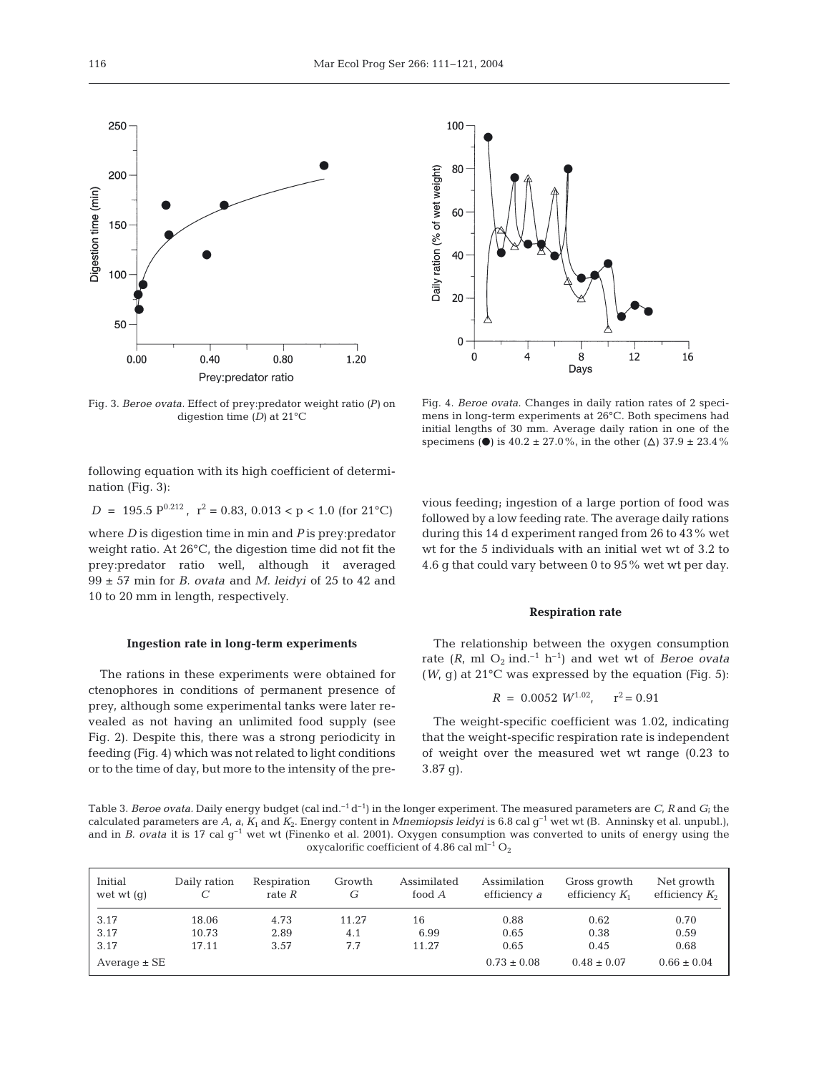

Fig. 3. *Beroe ovata.* Effect of prey:predator weight ratio *(P)* on digestion time *(D)* at 21°C

100 80 Daily ration (% of wet weight) 60 40 20  $\Omega$  $\pmb{0}$  $\overline{4}$ 8 12 16 Days

Fig. 4. *Beroe ovata*. Changes in daily ration rates of 2 specimens in long-term experiments at 26°C. Both specimens had initial lengths of 30 mm. Average daily ration in one of the specimens ( $\bullet$ ) is 40.2 ± 27.0%, in the other ( $\Delta$ ) 37.9 ± 23.4%

following equation with its high coefficient of determination (Fig. 3):

*D* = 195.5  $P^{0.212}$ ,  $r^2 = 0.83$ ,  $0.013 < p < 1.0$  (for  $21^{\circ}$ C)

where *D* is digestion time in min and *P* is prey:predator weight ratio. At 26°C, the digestion time did not fit the prey:predator ratio well, although it averaged 99 ± 57 min for *B. ovata* and *M. leidyi* of 25 to 42 and 10 to 20 mm in length, respectively.

#### **Ingestion rate in long-term experiments**

The rations in these experiments were obtained for ctenophores in conditions of permanent presence of prey, although some experimental tanks were later revealed as not having an unlimited food supply (see Fig. 2). Despite this, there was a strong periodicity in feeding (Fig. 4) which was not related to light conditions or to the time of day, but more to the intensity of the previous feeding; ingestion of a large portion of food was followed by a low feeding rate. The average daily rations during this 14 d experiment ranged from 26 to 43% wet wt for the 5 individuals with an initial wet wt of 3.2 to 4.6 g that could vary between 0 to 95% wet wt per day.

### **Respiration rate**

The relationship between the oxygen consumption rate  $(R, \text{ ml } \text{O}_2 \text{ ind.}^{-1} \text{ h}^{-1})$  and wet wt of *Beroe ovata*  $(W, g)$  at 21<sup>o</sup>C was expressed by the equation (Fig. 5):

$$
R = 0.0052 \ W^{1.02}, \quad r^2 = 0.91
$$

The weight-specific coefficient was 1.02, indicating that the weight-specific respiration rate is independent of weight over the measured wet wt range (0.23 to 3.87 g).

Table 3. *Beroe ovata*. Daily energy budget (cal ind.<sup>-1</sup> $d^{-1}$ ) in the longer experiment. The measured parameters are *C*, *R* and *G*; the calculated parameters are A, a,  $K_1$  and  $K_2$ . Energy content in *Mnemiopsis leidyi* is 6.8 cal g<sup>-1</sup> wet wt (B. Anninsky et al. unpubl.), and in *B. ovata* it is 17 cal g<sup>-1</sup> wet wt (Finenko et al. 2001). Oxygen consumption was converted to units of energy using the oxycalorific coefficient of 4.86 cal  $ml^{-1}O_2$ 

| Initial<br>wet wt $(q)$ | Daily ration | Respiration<br>rate $R$ | Growth<br>G | Assimilated<br>food A | Assimilation<br>efficiency a | Gross growth<br>efficiency $K_1$ | Net growth<br>efficiency $K_2$ |
|-------------------------|--------------|-------------------------|-------------|-----------------------|------------------------------|----------------------------------|--------------------------------|
| 3.17                    | 18.06        | 4.73                    | 11.27       | 16                    | 0.88                         | 0.62                             | 0.70                           |
| 3.17                    | 10.73        | 2.89                    | 4.1         | 6.99                  | 0.65                         | 0.38                             | 0.59                           |
| 3.17                    | 17.11        | 3.57                    | 7.7         | 11.27                 | 0.65                         | 0.45                             | 0.68                           |
| Average $\pm$ SE        |              |                         |             |                       | $0.73 \pm 0.08$              | $0.48 \pm 0.07$                  | $0.66 \pm 0.04$                |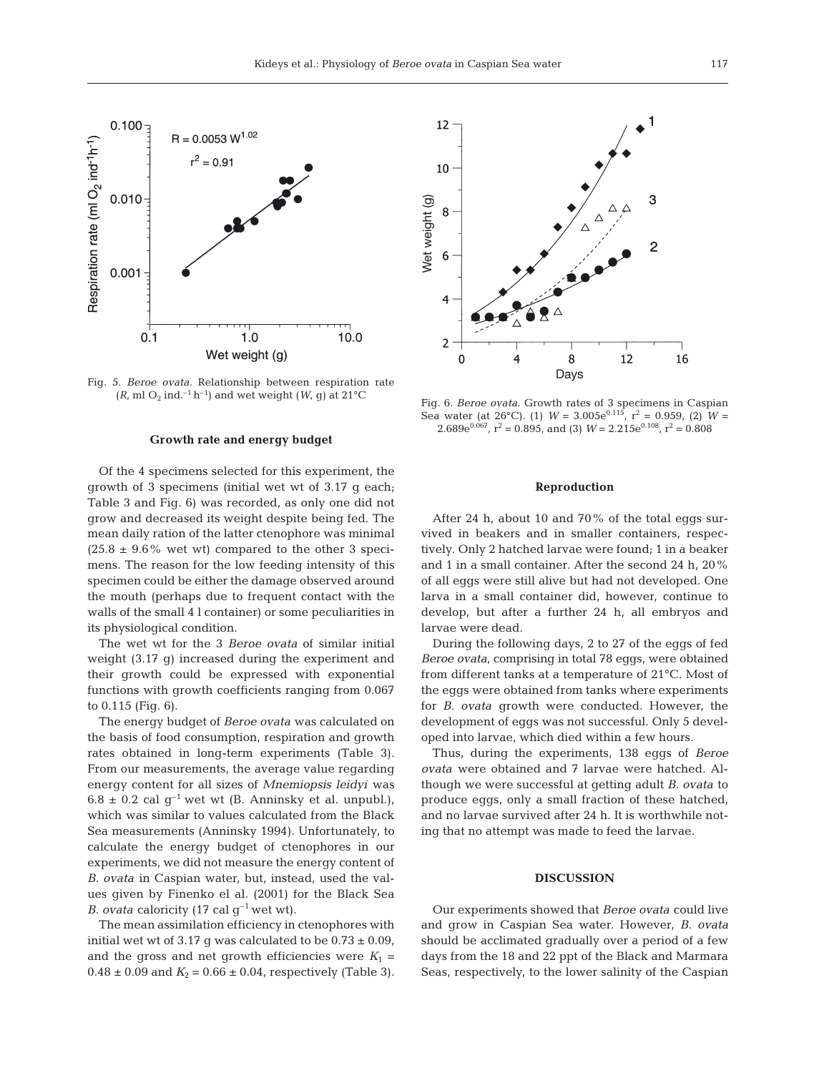

Fig. 5. *Beroe ovata.* Relationship between respiration rate  $(R, \text{ml } O_2 \text{ ind.}^{-1} \text{ h}^{-1})$  and wet weight  $(W, g)$  at 21<sup>o</sup>C Fig. 6. *Beroe ovata*. Growth rates of 3 specimens in Caspian

#### **Growth rate and energy budget**

Of the 4 specimens selected for this experiment, the growth of 3 specimens (initial wet wt of 3.17 g each; Table 3 and Fig. 6) was recorded, as only one did not grow and decreased its weight despite being fed. The mean daily ration of the latter ctenophore was minimal  $(25.8 \pm 9.6\% \text{ wet wt})$  compared to the other 3 specimens. The reason for the low feeding intensity of this specimen could be either the damage observed around the mouth (perhaps due to frequent contact with the walls of the small 4 l container) or some peculiarities in its physiological condition.

The wet wt for the 3 *Beroe ovata* of similar initial weight (3.17 g) increased during the experiment and their growth could be expressed with exponential functions with growth coefficients ranging from 0.067 to 0.115 (Fig. 6).

The energy budget of *Beroe ovata* was calculated on the basis of food consumption, respiration and growth rates obtained in long-term experiments (Table 3). From our measurements, the average value regarding energy content for all sizes of *Mnemiopsis leidyi* was  $6.8 \pm 0.2$  cal q<sup>-1</sup> wet wt (B. Anninsky et al. unpubl.), which was similar to values calculated from the Black Sea measurements (Anninsky 1994). Unfortunately, to calculate the energy budget of ctenophores in our experiments, we did not measure the energy content of *B. ovata* in Caspian water, but, instead, used the values given by Finenko el al. (2001) for the Black Sea *B. ovata* caloricity (17 cal  $g^{-1}$  wet wt).

The mean assimilation efficiency in ctenophores with initial wet wt of 3.17 g was calculated to be  $0.73 \pm 0.09$ , and the gross and net growth efficiencies were  $K_1$  =  $0.48 \pm 0.09$  and  $K_2 = 0.66 \pm 0.04$ , respectively (Table 3).



Sea water (at 26°C). (1)  $W = 3.005e^{0.115}$ ,  $r^2 = 0.959$ , (2)  $W =$ 2.689 $e^{0.067}$ ,  $r^2 = 0.895$ , and (3)  $W = 2.215e^{0.108}$ ,  $r^2 = 0.808$ 

#### **Reproduction**

After 24 h, about 10 and 70% of the total eggs survived in beakers and in smaller containers, respectively. Only 2 hatched larvae were found; 1 in a beaker and 1 in a small container. After the second 24 h, 20% of all eggs were still alive but had not developed. One larva in a small container did, however, continue to develop, but after a further 24 h, all embryos and larvae were dead.

During the following days, 2 to 27 of the eggs of fed *Beroe ovata*, comprising in total 78 eggs, were obtained from different tanks at a temperature of 21°C. Most of the eggs were obtained from tanks where experiments for *B. ovata* growth were conducted. However, the development of eggs was not successful. Only 5 developed into larvae, which died within a few hours.

Thus, during the experiments, 138 eggs of *Beroe ovata* were obtained and 7 larvae were hatched. Although we were successful at getting adult *B. ovata* to produce eggs, only a small fraction of these hatched, and no larvae survived after 24 h. It is worthwhile noting that no attempt was made to feed the larvae.

#### **DISCUSSION**

Our experiments showed that *Beroe ovata* could live and grow in Caspian Sea water. However, *B. ovata* should be acclimated gradually over a period of a few days from the 18 and 22 ppt of the Black and Marmara Seas, respectively, to the lower salinity of the Caspian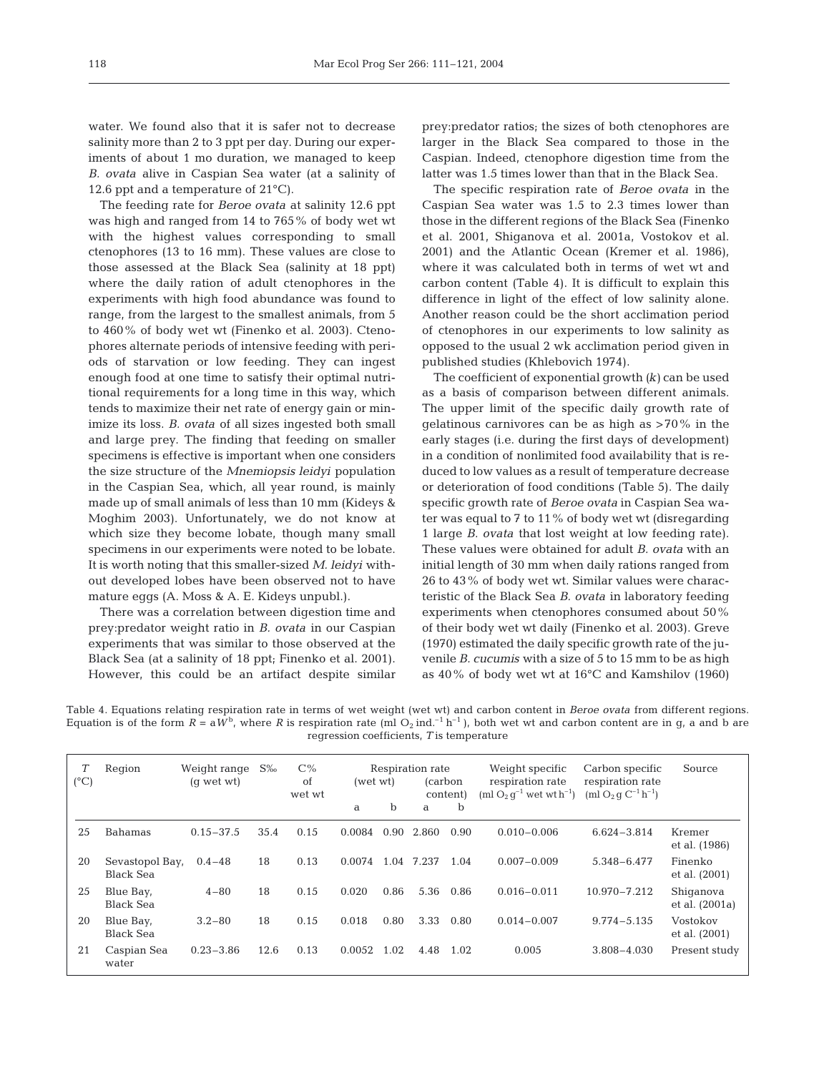water. We found also that it is safer not to decrease salinity more than 2 to 3 ppt per day. During our experiments of about 1 mo duration, we managed to keep *B. ovata* alive in Caspian Sea water (at a salinity of 12.6 ppt and a temperature of 21°C).

The feeding rate for *Beroe ovata* at salinity 12.6 ppt was high and ranged from 14 to 765% of body wet wt with the highest values corresponding to small ctenophores (13 to 16 mm). These values are close to those assessed at the Black Sea (salinity at 18 ppt) where the daily ration of adult ctenophores in the experiments with high food abundance was found to range, from the largest to the smallest animals, from 5 to 460% of body wet wt (Finenko et al. 2003). Ctenophores alternate periods of intensive feeding with periods of starvation or low feeding. They can ingest enough food at one time to satisfy their optimal nutritional requirements for a long time in this way, which tends to maximize their net rate of energy gain or minimize its loss. *B. ovata* of all sizes ingested both small and large prey. The finding that feeding on smaller specimens is effective is important when one considers the size structure of the *Mnemiopsis leidyi* population in the Caspian Sea, which, all year round, is mainly made up of small animals of less than 10 mm (Kideys & Moghim 2003). Unfortunately, we do not know at which size they become lobate, though many small specimens in our experiments were noted to be lobate. It is worth noting that this smaller-sized *M. leidyi* without developed lobes have been observed not to have mature eggs (A. Moss & A. E. Kideys unpubl.).

There was a correlation between digestion time and prey:predator weight ratio in *B. ovata* in our Caspian experiments that was similar to those observed at the Black Sea (at a salinity of 18 ppt; Finenko et al. 2001). However, this could be an artifact despite similar

prey:predator ratios; the sizes of both ctenophores are larger in the Black Sea compared to those in the Caspian. Indeed, ctenophore digestion time from the latter was 1.5 times lower than that in the Black Sea.

The specific respiration rate of *Beroe ovata* in the Caspian Sea water was 1.5 to 2.3 times lower than those in the different regions of the Black Sea (Finenko et al. 2001, Shiganova et al. 2001a, Vostokov et al. 2001) and the Atlantic Ocean (Kremer et al. 1986), where it was calculated both in terms of wet wt and carbon content (Table 4). It is difficult to explain this difference in light of the effect of low salinity alone. Another reason could be the short acclimation period of ctenophores in our experiments to low salinity as opposed to the usual 2 wk acclimation period given in published studies (Khlebovich 1974).

The coefficient of exponential growth *(k)* can be used as a basis of comparison between different animals. The upper limit of the specific daily growth rate of gelatinous carnivores can be as high as  $>70\%$  in the early stages (i.e. during the first days of development) in a condition of nonlimited food availability that is reduced to low values as a result of temperature decrease or deterioration of food conditions (Table 5). The daily specific growth rate of *Beroe ovata* in Caspian Sea water was equal to  $7$  to  $11\%$  of body wet wt (disregarding 1 large *B. ovata* that lost weight at low feeding rate). These values were obtained for adult *B. ovata* with an initial length of 30 mm when daily rations ranged from 26 to 43% of body wet wt. Similar values were characteristic of the Black Sea *B. ovata* in laboratory feeding experiments when ctenophores consumed about 50% of their body wet wt daily (Finenko et al. 2003). Greve (1970) estimated the daily specific growth rate of the juvenile *B. cucumis* with a size of 5 to 15 mm to be as high as 40% of body wet wt at 16°C and Kamshilov (1960)

Table 4. Equations relating respiration rate in terms of wet weight (wet wt) and carbon content in *Beroe ovata* from different regions. Equation is of the form  $R = a \dot{W}^b$ , where R is respiration rate (ml O<sub>2</sub> ind.<sup>-1</sup> h<sup>-1</sup>), both wet wt and carbon content are in g, a and b are regression coefficients, *T* is temperature

| $(^{\circ}C)$ | Region                        | Weight range<br>(q wet wt) | $S\%$ | $C\%$<br>of<br>wet wt | (wet wt) |             | Respiration rate<br>(carbon) | content)    | Weight specific<br>respiration rate<br>(ml $O_2$ $q^{-1}$ wet wt $h^{-1}$ ) | Carbon specific<br>respiration rate<br>(ml $O_2$ q $C^{-1}$ h <sup>-1</sup> ) | Source                      |
|---------------|-------------------------------|----------------------------|-------|-----------------------|----------|-------------|------------------------------|-------------|-----------------------------------------------------------------------------|-------------------------------------------------------------------------------|-----------------------------|
|               |                               |                            |       |                       | a        | $\mathbf b$ | a                            | $\mathbf b$ |                                                                             |                                                                               |                             |
| 25            | Bahamas                       | $0.15 - 37.5$              | 35.4  | 0.15                  | 0.0084   | 0.90        | 2.860                        | 0.90        | $0.010 - 0.006$                                                             | $6.624 - 3.814$                                                               | Kremer<br>et al. (1986)     |
| 20            | Sevastopol Bay,<br>Black Sea  | $0.4 - 48$                 | 18    | 0.13                  | 0.0074   | 1.04        | 7.237                        | 1.04        | $0.007 - 0.009$                                                             | 5.348-6.477                                                                   | Finenko<br>et al. (2001)    |
| 25            | Blue Bay,<br>Black Sea        | $4 - 80$                   | 18    | 0.15                  | 0.020    | 0.86        | 5.36                         | 0.86        | $0.016 - 0.011$                                                             | $10.970 - 7.212$                                                              | Shiganova<br>et al. (2001a) |
| 20            | Blue Bay,<br><b>Black Sea</b> | $3.2 - 80$                 | 18    | 0.15                  | 0.018    | 0.80        | 3.33                         | 0.80        | $0.014 - 0.007$                                                             | $9.774 - 5.135$                                                               | Vostokov<br>et al. (2001)   |
| 21            | Caspian Sea<br>water          | $0.23 - 3.86$              | 12.6  | 0.13                  | 0.0052   | 1.02        | 4.48                         | 1.02        | 0.005                                                                       | $3.808 - 4.030$                                                               | Present study               |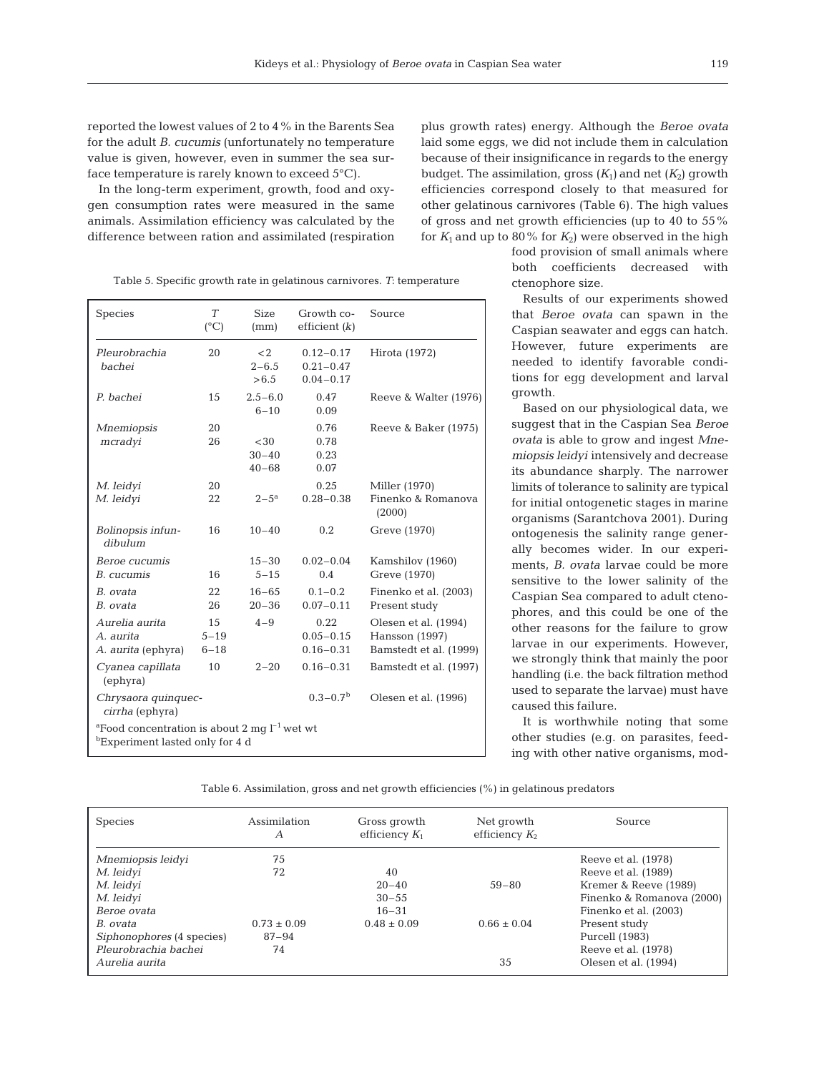reported the lowest values of 2 to 4% in the Barents Sea for the adult *B. cucumis* (unfortunately no temperature value is given, however, even in summer the sea surface temperature is rarely known to exceed 5°C).

In the long-term experiment, growth, food and oxygen consumption rates were measured in the same animals. Assimilation efficiency was calculated by the difference between ration and assimilated (respiration

plus growth rates) energy. Although the *Beroe ovata* laid some eggs, we did not include them in calculation because of their insignificance in regards to the energy budget. The assimilation, gross  $(K_1)$  and net  $(K_2)$  growth efficiencies correspond closely to that measured for other gelatinous carnivores (Table 6). The high values of gross and net growth efficiencies (up to 40 to 55% for  $K_1$  and up to 80% for  $K_2$ ) were observed in the high

food provision of small animals where both coefficients decreased with ctenophore size.

Results of our experiments showed that *Beroe ovata* can spawn in the Caspian seawater and eggs can hatch. However, future experiments are needed to identify favorable conditions for egg development and larval growth.

Based on our physiological data, we suggest that in the Caspian Sea *Beroe ovata* is able to grow and ingest *Mnemiopsis leidyi* intensively and decrease its abundance sharply. The narrower limits of tolerance to salinity are typical for initial ontogenetic stages in marine organisms (Sarantchova 2001). During ontogenesis the salinity range generally becomes wider. In our experiments, *B. ovata* larvae could be more sensitive to the lower salinity of the Caspian Sea compared to adult ctenophores, and this could be one of the other reasons for the failure to grow larvae in our experiments. However, we strongly think that mainly the poor handling (i.e. the back filtration method used to separate the larvae) must have caused this failure.

It is worthwhile noting that some other studies (e.g. on parasites, feeding with other native organisms, mod-

Table 5. Specific growth rate in gelatinous carnivores. *T*: temperature

| Table 6. Assimilation, gross and net growth efficiencies $(\%)$ in gelatinous predators |  |  |  |
|-----------------------------------------------------------------------------------------|--|--|--|

| Species                   | Assimilation<br>А | Gross growth<br>efficiency $K_1$ | Net growth<br>efficiency $K_2$ | Source                    |
|---------------------------|-------------------|----------------------------------|--------------------------------|---------------------------|
| Mnemiopsis leidyi         | 75                |                                  |                                | Reeve et al. (1978)       |
| M. leidyi                 | 72                | 40                               |                                | Reeve et al. (1989)       |
| M. leidyi                 |                   | $20 - 40$                        | $59 - 80$                      | Kremer & Reeve (1989)     |
| M. leidyi                 |                   | $30 - 55$                        |                                | Finenko & Romanova (2000) |
| Beroe ovata               |                   | $16 - 31$                        |                                | Finenko et al. (2003)     |
| B. ovata                  | $0.73 \pm 0.09$   | $0.48 \pm 0.09$                  | $0.66 \pm 0.04$                | Present study             |
| Siphonophores (4 species) | 87-94             |                                  |                                | Purcell (1983)            |
| Pleurobrachia bachei      | 74                |                                  |                                | Reeve et al. (1978)       |
| Aurelia aurita            |                   |                                  | 35                             | Olesen et al. (1994)      |

| Species                                                                                                      | T<br>$(^{\circ}C)$         | <b>Size</b><br>(mm)           | Growth co-<br>efficient $(k)$                   | Source                                                           |  |  |  |
|--------------------------------------------------------------------------------------------------------------|----------------------------|-------------------------------|-------------------------------------------------|------------------------------------------------------------------|--|--|--|
| Pleurobrachia<br>bachei                                                                                      | 20                         | $<$ 2<br>$2 - 6.5$<br>> 6.5   | $0.12 - 0.17$<br>$0.21 - 0.47$<br>$0.04 - 0.17$ | Hirota (1972)                                                    |  |  |  |
| P. bachei                                                                                                    | 15                         | $2.5 - 6.0$<br>$6 - 10$       | 0.47<br>0.09                                    | Reeve & Walter (1976)                                            |  |  |  |
| <b>Mnemiopsis</b><br>mcradyi                                                                                 | 20<br>26                   | <30<br>$30 - 40$<br>$40 - 68$ | 0.76<br>0.78<br>0.23<br>0.07                    | Reeve & Baker (1975)                                             |  |  |  |
| M. leidyi<br>M. leidyi                                                                                       | 20<br>22                   | $2 - 5^{\rm a}$               | 0.25<br>$0.28 - 0.38$                           | Miller (1970)<br>Finenko & Romanova<br>(2000)                    |  |  |  |
| Bolinopsis infun-<br>dibulum                                                                                 | 16                         | $10 - 40$                     | 0.2                                             | Greve (1970)                                                     |  |  |  |
| Beroe cucumis<br>B. cucumis                                                                                  | 16                         | $15 - 30$<br>$5 - 15$         | $0.02 - 0.04$<br>0.4                            | Kamshilov (1960)<br>Greve (1970)                                 |  |  |  |
| B. ovata<br>B. ovata                                                                                         | 22<br>26                   | $16 - 65$<br>$20 - 36$        | $0.1 - 0.2$<br>$0.07 - 0.11$                    | Finenko et al. (2003)<br>Present study                           |  |  |  |
| Aurelia aurita<br>A. aurita<br>A. aurita (ephyra)                                                            | 15<br>$5 - 19$<br>$6 - 18$ | $4 - 9$                       | 0.22<br>$0.05 - 0.15$<br>$0.16 - 0.31$          | Olesen et al. (1994)<br>Hansson (1997)<br>Bamstedt et al. (1999) |  |  |  |
| Cyanea capillata<br>(ephyra)                                                                                 | 10                         | $2 - 20$                      | $0.16 - 0.31$                                   | Bamstedt et al. (1997)                                           |  |  |  |
| Chrysaora quinquec-<br>cirrha (ephyra)                                                                       |                            |                               | $0.3 - 0.7b$                                    | Olesen et al. (1996)                                             |  |  |  |
| <sup>a</sup> Food concentration is about 2 mq $l^{-1}$ wet wt<br><sup>b</sup> Experiment lasted only for 4 d |                            |                               |                                                 |                                                                  |  |  |  |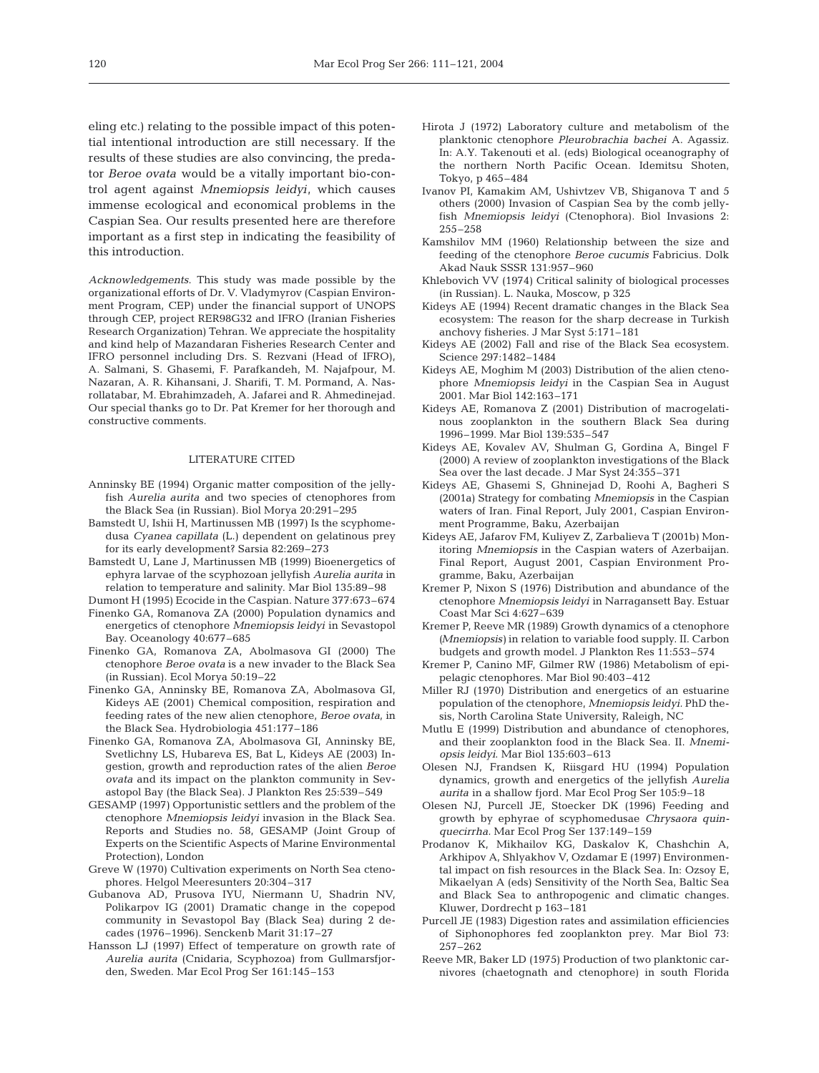eling etc.) relating to the possible impact of this potential intentional introduction are still necessary. If the results of these studies are also convincing, the predator *Beroe ovata* would be a vitally important bio-control agent against *Mnemiopsis leidyi*, which causes immense ecological and economical problems in the Caspian Sea. Our results presented here are therefore important as a first step in indicating the feasibility of this introduction.

*Acknowledgements*. This study was made possible by the organizational efforts of Dr. V. Vladymyrov (Caspian Environment Program, CEP) under the financial support of UNOPS through CEP, project RER98G32 and IFRO (Iranian Fisheries Research Organization) Tehran. We appreciate the hospitality and kind help of Mazandaran Fisheries Research Center and IFRO personnel including Drs. S. Rezvani (Head of IFRO), A. Salmani, S. Ghasemi, F. Parafkandeh, M. Najafpour, M. Nazaran, A. R. Kihansani, J. Sharifi, T. M. Pormand, A. Nasrollatabar, M. Ebrahimzadeh, A. Jafarei and R. Ahmedinejad. Our special thanks go to Dr. Pat Kremer for her thorough and constructive comments.

#### LITERATURE CITED

- Anninsky BE (1994) Organic matter composition of the jellyfish *Aurelia aurita* and two species of ctenophores from the Black Sea (in Russian). Biol Morya 20:291–295
- Bamstedt U, Ishii H, Martinussen MB (1997) Is the scyphomedusa *Cyanea capillata* (L.) dependent on gelatinous prey for its early development? Sarsia 82:269–273
- Bamstedt U, Lane J, Martinussen MB (1999) Bioenergetics of ephyra larvae of the scyphozoan jellyfish *Aurelia aurita* in relation to temperature and salinity. Mar Biol 135:89–98
- Dumont H (1995) Ecocide in the Caspian. Nature 377:673–674
- Finenko GA, Romanova ZA (2000) Population dynamics and energetics of ctenophore *Mnemiopsis leidyi* in Sevastopol Bay. Oceanology 40:677–685
- Finenko GA, Romanova ZA, Abolmasova GI (2000) The ctenophore *Beroe ovata* is a new invader to the Black Sea (in Russian). Ecol Morya 50:19–22
- Finenko GA, Anninsky BE, Romanova ZA, Abolmasova GI, Kideys AE (2001) Chemical composition, respiration and feeding rates of the new alien ctenophore, *Beroe ovata,* in the Black Sea. Hydrobiologia 451:177–186
- Finenko GA, Romanova ZA, Abolmasova GI, Anninsky BE, Svetlichny LS, Hubareva ES, Bat L, Kideys AE (2003) Ingestion, growth and reproduction rates of the alien *Beroe ovata* and its impact on the plankton community in Sevastopol Bay (the Black Sea). J Plankton Res 25:539–549
- GESAMP (1997) Opportunistic settlers and the problem of the ctenophore *Mnemiopsis leidyi* invasion in the Black Sea. Reports and Studies no. 58, GESAMP (Joint Group of Experts on the Scientific Aspects of Marine Environmental Protection), London
- Greve W (1970) Cultivation experiments on North Sea ctenophores. Helgol Meeresunters 20:304–317
- Gubanova AD, Prusova IYU, Niermann U, Shadrin NV, Polikarpov IG (2001) Dramatic change in the copepod community in Sevastopol Bay (Black Sea) during 2 decades (1976–1996). Senckenb Marit 31:17–27
- Hansson LJ (1997) Effect of temperature on growth rate of *Aurelia aurita* (Cnidaria, Scyphozoa) from Gullmarsfjorden, Sweden. Mar Ecol Prog Ser 161:145–153
- Hirota J (1972) Laboratory culture and metabolism of the planktonic ctenophore *Pleurobrachia bachei* A. Agassiz. In: A.Y. Takenouti et al. (eds) Biological oceanography of the northern North Pacific Ocean. Idemitsu Shoten, Tokyo, p 465–484
- Ivanov PI, Kamakim AM, Ushivtzev VB, Shiganova T and 5 others (2000) Invasion of Caspian Sea by the comb jellyfish *Mnemiopsis leidyi* (Ctenophora). Biol Invasions 2: 255–258
- Kamshilov MM (1960) Relationship between the size and feeding of the ctenophore *Beroe cucumis* Fabricius. Dolk Akad Nauk SSSR 131:957–960
- Khlebovich VV (1974) Critical salinity of biological processes (in Russian). L. Nauka, Moscow, p 325
- Kideys AE (1994) Recent dramatic changes in the Black Sea ecosystem: The reason for the sharp decrease in Turkish anchovy fisheries. J Mar Syst 5:171–181
- Kideys AE (2002) Fall and rise of the Black Sea ecosystem. Science 297:1482–1484
- Kideys AE, Moghim M (2003) Distribution of the alien ctenophore *Mnemiopsis leidyi* in the Caspian Sea in August 2001. Mar Biol 142:163–171
- Kideys AE, Romanova Z (2001) Distribution of macrogelatinous zooplankton in the southern Black Sea during 1996–1999. Mar Biol 139:535–547
- Kideys AE, Kovalev AV, Shulman G, Gordina A, Bingel F (2000) A review of zooplankton investigations of the Black Sea over the last decade. J Mar Syst 24:355–371
- Kideys AE, Ghasemi S, Ghninejad D, Roohi A, Bagheri S (2001a) Strategy for combating *Mnemiopsis* in the Caspian waters of Iran. Final Report, July 2001, Caspian Environment Programme, Baku, Azerbaijan
- Kideys AE, Jafarov FM, Kuliyev Z, Zarbalieva T (2001b) Monitoring *Mnemiopsis* in the Caspian waters of Azerbaijan. Final Report, August 2001, Caspian Environment Programme, Baku, Azerbaijan
- Kremer P, Nixon S (1976) Distribution and abundance of the ctenophore *Mnemiopsis leidyi* in Narragansett Bay. Estuar Coast Mar Sci 4:627–639
- Kremer P, Reeve MR (1989) Growth dynamics of a ctenophore *(Mnemiopsis)* in relation to variable food supply. II. Carbon budgets and growth model. J Plankton Res 11:553–574
- Kremer P, Canino MF, Gilmer RW (1986) Metabolism of epipelagic ctenophores. Mar Biol 90:403–412
- Miller RJ (1970) Distribution and energetics of an estuarine population of the ctenophore, *Mnemiopsis leidyi.* PhD thesis, North Carolina State University, Raleigh, NC
- Mutlu E (1999) Distribution and abundance of ctenophores, and their zooplankton food in the Black Sea. II. *Mnemiopsis leidyi*. Mar Biol 135:603–613
- Olesen NJ, Frandsen K, Riisgard HU (1994) Population dynamics, growth and energetics of the jellyfish *Aurelia aurita* in a shallow fjord. Mar Ecol Prog Ser 105:9–18
- Olesen NJ, Purcell JE, Stoecker DK (1996) Feeding and growth by ephyrae of scyphomedusae *Chrysaora quinquecirrha.* Mar Ecol Prog Ser 137:149–159
- Prodanov K, Mikhailov KG, Daskalov K, Chashchin A, Arkhipov A, Shlyakhov V, Ozdamar E (1997) Environmental impact on fish resources in the Black Sea. In: Ozsoy E, Mikaelyan A (eds) Sensitivity of the North Sea, Baltic Sea and Black Sea to anthropogenic and climatic changes. Kluwer, Dordrecht p 163–181
- Purcell JE (1983) Digestion rates and assimilation efficiencies of Siphonophores fed zooplankton prey. Mar Biol 73: 257–262
- Reeve MR, Baker LD (1975) Production of two planktonic carnivores (chaetognath and ctenophore) in south Florida